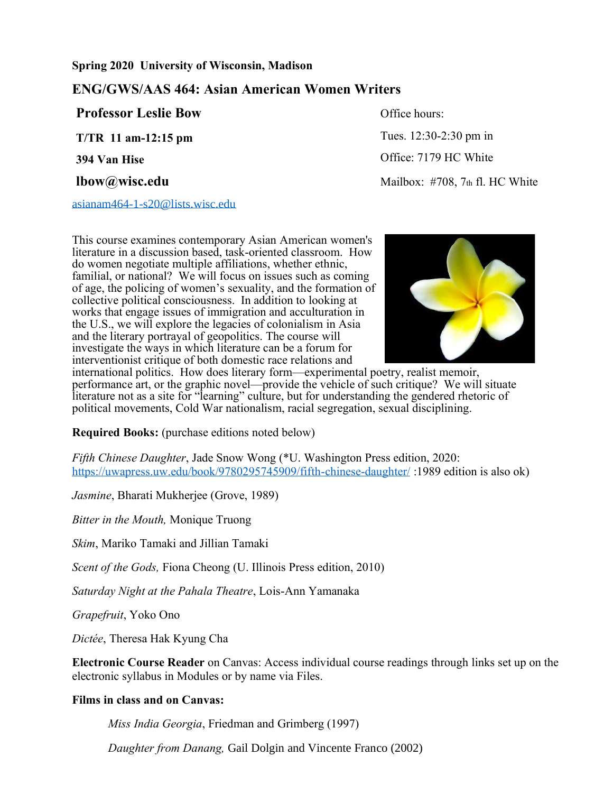### **Spring 2020 University of Wisconsin, Madison**

# **ENG/GWS/AAS 464: Asian American Women Writers**

**Professor Leslie Bow T/TR 11 am-12:15 pm 394 Van Hise**

[asianam464-1-s20@lists.wisc.edu](mailto:asianam464-1-s20@lists.wisc.edu)

This course examines contemporary Asian American women's literature in a discussion based, task-oriented classroom. How do women negotiate multiple affiliations, whether ethnic, familial, or national? We will focus on issues such as coming of age, the policing of women's sexuality, and the formation of collective political consciousness. In addition to looking at works that engage issues of immigration and acculturation in the U.S., we will explore the legacies of colonialism in Asia and the literary portrayal of geopolitics. The course will investigate the ways in which literature can be a forum for interventionist critique of both domestic race relations and



international politics. How does literary form—experimental poetry, realist memoir, performance art, or the graphic novel—provide the vehicle of such critique? We will situate literature not as a site for "learning" culture, but for understanding the gendered rhetoric of political movements, Cold War nationalism, racial segregation, sexual disciplining.

**Required Books:** (purchase editions noted below)

*Fifth Chinese Daughter*, Jade Snow Wong (\*U. Washington Press edition, 2020: <https://uwapress.uw.edu/book/9780295745909/fifth-chinese-daughter/> :1989 edition is also ok)

*Jasmine*, Bharati Mukherjee (Grove, 1989)

*Bitter in the Mouth,* Monique Truong

*Skim*, Mariko Tamaki and Jillian Tamaki

*Scent of the Gods,* Fiona Cheong (U. Illinois Press edition, 2010)

*Saturday Night at the Pahala Theatre*, Lois-Ann Yamanaka

*Grapefruit*, Yoko Ono

*Dictée*, Theresa Hak Kyung Cha

**Electronic Course Reader** on Canvas: Access individual course readings through links set up on the electronic syllabus in Modules or by name via Files.

## **Films in class and on Canvas:**

*Miss India Georgia*, Friedman and Grimberg (1997)

*Daughter from Danang,* Gail Dolgin and Vincente Franco (2002)

Office hours:

 Tues. 12:30-2:30 pm in Office: 7179 HC White **lbow@wisc.edu** Mailbox: #708, 7th fl. HC White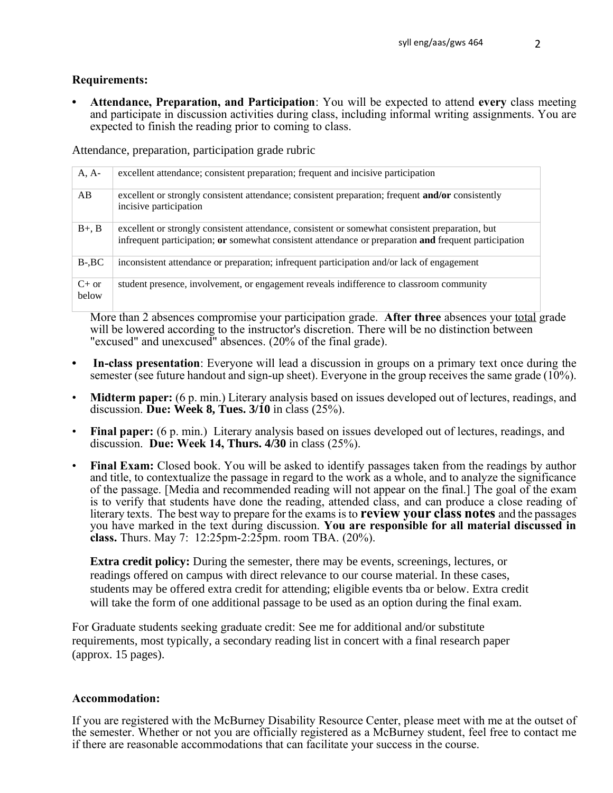### **Requirements:**

**• Attendance, Preparation, and Participation**: You will be expected to attend **every** class meeting and participate in discussion activities during class, including informal writing assignments. You are expected to finish the reading prior to coming to class.

Attendance, preparation, participation grade rubric

| $A, A-$          | excellent attendance; consistent preparation; frequent and incisive participation                                                                                                                        |
|------------------|----------------------------------------------------------------------------------------------------------------------------------------------------------------------------------------------------------|
| AB               | excellent or strongly consistent attendance; consistent preparation; frequent <b>and/or</b> consistently<br>incisive participation                                                                       |
| $B+$ , $B$       | excellent or strongly consistent attendance, consistent or somewhat consistent preparation, but<br>infrequent participation; or somewhat consistent attendance or preparation and frequent participation |
| $B-$ , $BC$      | inconsistent attendance or preparation; infrequent participation and/or lack of engagement                                                                                                               |
| $C+$ or<br>below | student presence, involvement, or engagement reveals indifference to classroom community                                                                                                                 |

More than 2 absences compromise your participation grade. **After three** absences your total grade will be lowered according to the instructor's discretion. There will be no distinction between "excused" and unexcused" absences. (20% of the final grade).

- **• In-class presentation**: Everyone will lead a discussion in groups on a primary text once during the semester (see future handout and sign-up sheet). Everyone in the group receives the same grade  $(10\%)$ .
- **Midterm paper:** (6 p. min.) Literary analysis based on issues developed out of lectures, readings, and discussion. **Due: Week 8, Tues. 3/10** in class (25%).
- **Final paper:** (6 p. min.) Literary analysis based on issues developed out of lectures, readings, and discussion. **Due: Week 14, Thurs. 4/30** in class (25%).
- **Final Exam:** Closed book. You will be asked to identify passages taken from the readings by author and title, to contextualize the passage in regard to the work as a whole, and to analyze the significance of the passage. [Media and recommended reading will not appear on the final.] The goal of the exam is to verify that students have done the reading, attended class, and can produce a close reading of literary texts. The best way to prepare for the exams is to **review your class notes** and the passages you have marked in the text during discussion. **You are responsible for all material discussed in class.** Thurs. May 7: 12:25pm-2:25pm. room TBA. (20%).

**Extra credit policy:** During the semester, there may be events, screenings, lectures, or readings offered on campus with direct relevance to our course material. In these cases, students may be offered extra credit for attending; eligible events tba or below. Extra credit will take the form of one additional passage to be used as an option during the final exam.

For Graduate students seeking graduate credit: See me for additional and/or substitute requirements, most typically, a secondary reading list in concert with a final research paper (approx. 15 pages).

### **Accommodation:**

If you are registered with the McBurney Disability Resource Center, please meet with me at the outset of the semester. Whether or not you are officially registered as a McBurney student, feel free to contact me if there are reasonable accommodations that can facilitate your success in the course.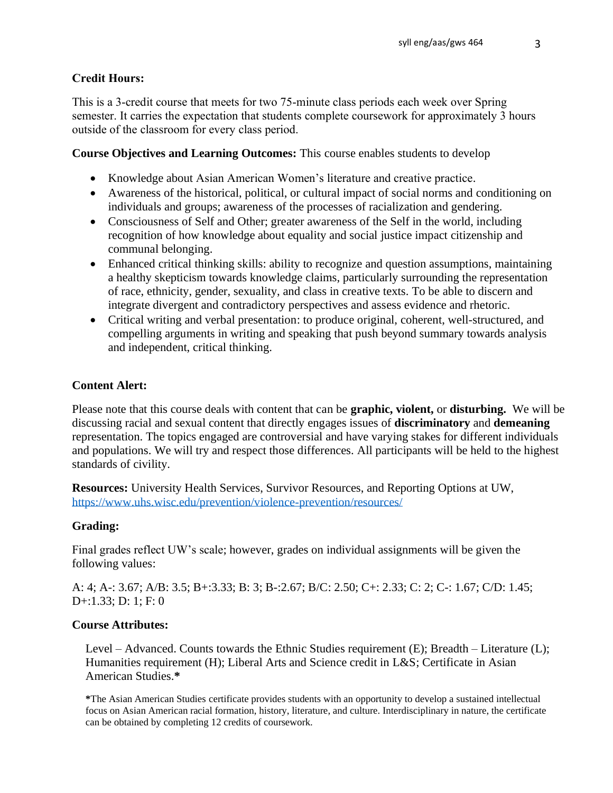## **Credit Hours:**

This is a 3-credit course that meets for two 75-minute class periods each week over Spring semester. It carries the expectation that students complete coursework for approximately 3 hours outside of the classroom for every class period.

## **Course Objectives and Learning Outcomes:** This course enables students to develop

- Knowledge about Asian American Women's literature and creative practice.
- Awareness of the historical, political, or cultural impact of social norms and conditioning on individuals and groups; awareness of the processes of racialization and gendering.
- Consciousness of Self and Other; greater awareness of the Self in the world, including recognition of how knowledge about equality and social justice impact citizenship and communal belonging.
- Enhanced critical thinking skills: ability to recognize and question assumptions, maintaining a healthy skepticism towards knowledge claims, particularly surrounding the representation of race, ethnicity, gender, sexuality, and class in creative texts. To be able to discern and integrate divergent and contradictory perspectives and assess evidence and rhetoric.
- Critical writing and verbal presentation: to produce original, coherent, well-structured, and compelling arguments in writing and speaking that push beyond summary towards analysis and independent, critical thinking.

## **Content Alert:**

Please note that this course deals with content that can be **graphic, violent,** or **disturbing.** We will be discussing racial and sexual content that directly engages issues of **discriminatory** and **demeaning** representation. The topics engaged are controversial and have varying stakes for different individuals and populations. We will try and respect those differences. All participants will be held to the highest standards of civility.

**Resources:** University Health Services, Survivor Resources, and Reporting Options at UW, <https://www.uhs.wisc.edu/prevention/violence-prevention/resources/>

### **Grading:**

Final grades reflect UW's scale; however, grades on individual assignments will be given the following values:

A: 4; A-: 3.67; A/B: 3.5; B+:3.33; B: 3; B-:2.67; B/C: 2.50; C+: 2.33; C: 2; C-: 1.67; C/D: 1.45; D+:1.33; D: 1; F: 0

# **Course Attributes:**

Level – Advanced. Counts towards the Ethnic Studies requirement (E); Breadth – Literature (L); Humanities requirement (H); Liberal Arts and Science credit in L&S; Certificate in Asian American Studies.**\*** 

**\***The Asian American Studies certificate provides students with an opportunity to develop a sustained intellectual focus on Asian American racial formation, history, literature, and culture. Interdisciplinary in nature, the certificate can be obtained by completing 12 credits of coursework.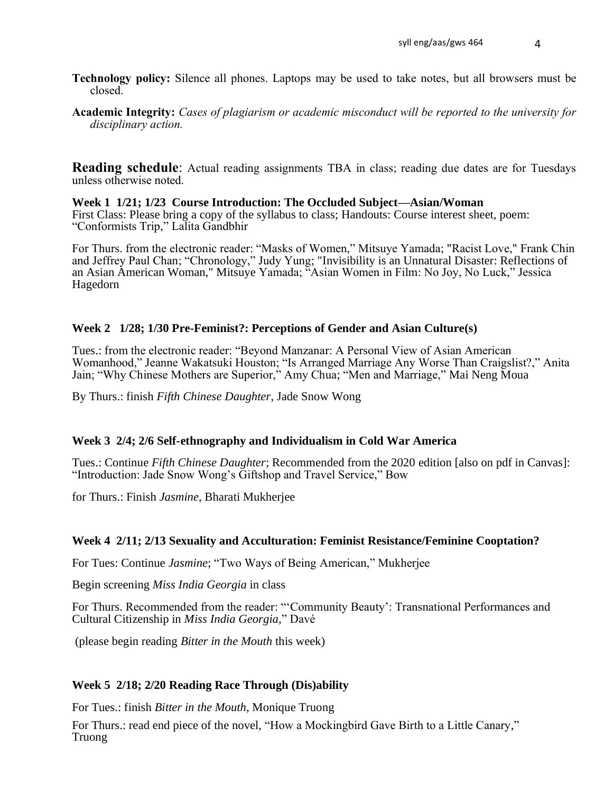- **Technology policy:** Silence all phones. Laptops may be used to take notes, but all browsers must be closed.
- **Academic Integrity:** *Cases of plagiarism or academic misconduct will be reported to the university for disciplinary action.*

**Reading schedule:** Actual reading assignments TBA in class; reading due dates are for Tuesdays unless otherwise noted.

#### **Week 1 1/21; 1/23 Course Introduction: The Occluded Subject—Asian/Woman** First Class: Please bring a copy of the syllabus to class; Handouts: Course interest sheet, poem:

"Conformists Trip," Lalita Gandbhir

For Thurs. from the electronic reader: "Masks of Women," Mitsuye Yamada; "Racist Love," Frank Chin and Jeffrey Paul Chan; "Chronology," Judy Yung; "Invisibility is an Unnatural Disaster: Reflections of an Asian American Woman," Mitsuye Yamada; "Asian Women in Film: No Joy, No Luck," Jessica Hagedorn

## **Week 2 1/28; 1/30 Pre-Feminist?: Perceptions of Gender and Asian Culture(s)**

Tues.: from the electronic reader: "Beyond Manzanar: A Personal View of Asian American Womanhood," Jeanne Wakatsuki Houston; "Is Arranged Marriage Any Worse Than Craigslist?," Anita Jain; "Why Chinese Mothers are Superior," Amy Chua; "Men and Marriage," Mai Neng Moua

By Thurs.: finish *Fifth Chinese Daughter*, Jade Snow Wong

# **Week 3 2/4; 2/6 Self-ethnography and Individualism in Cold War America**

Tues.: Continue *Fifth Chinese Daughter*; Recommended from the 2020 edition [also on pdf in Canvas]: "Introduction: Jade Snow Wong's Giftshop and Travel Service," Bow

for Thurs.: Finish *Jasmine*, Bharati Mukherjee

# **Week 4 2/11; 2/13 Sexuality and Acculturation: Feminist Resistance/Feminine Cooptation?**

For Tues: Continue *Jasmine*; "Two Ways of Being American," Mukherjee

Begin screening *Miss India Georgia* in class

For Thurs. Recommended from the reader: "'Community Beauty': Transnational Performances and Cultural Citizenship in *Miss India Georgia,*" Davé

(please begin reading *Bitter in the Mouth* this week)

# **Week 5 2/18; 2/20 Reading Race Through (Dis)ability**

For Tues.: finish *Bitter in the Mouth*, Monique Truong

For Thurs.: read end piece of the novel, "How a Mockingbird Gave Birth to a Little Canary," Truong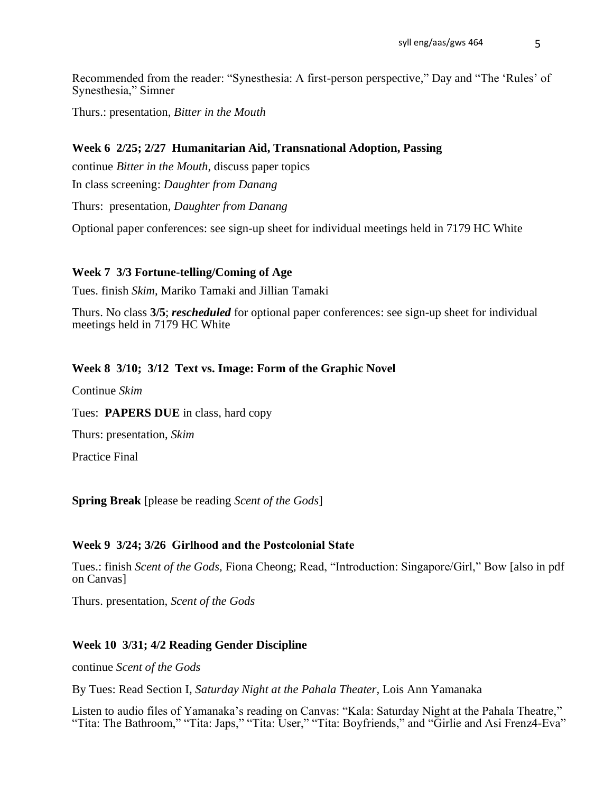Recommended from the reader: "Synesthesia: A first-person perspective," Day and "The 'Rules' of Synesthesia," Simner

Thurs.: presentation, *Bitter in the Mouth*

### **Week 6 2/25; 2/27 Humanitarian Aid, Transnational Adoption, Passing**

continue *Bitter in the Mouth*, discuss paper topics

In class screening: *Daughter from Danang*

Thurs: presentation, *Daughter from Danang*

Optional paper conferences: see sign-up sheet for individual meetings held in 7179 HC White

### **Week 7 3/3 Fortune-telling/Coming of Age**

Tues. finish *Skim*, Mariko Tamaki and Jillian Tamaki

Thurs. No class **3/5**; *rescheduled* for optional paper conferences: see sign-up sheet for individual meetings held in 7179 HC White

### **Week 8 3/10; 3/12 Text vs. Image: Form of the Graphic Novel**

Continue *Skim*

Tues: **PAPERS DUE** in class, hard copy

Thurs: presentation, *Skim*

Practice Final

**Spring Break** [please be reading *Scent of the Gods*]

### **Week 9 3/24; 3/26 Girlhood and the Postcolonial State**

Tues.: finish *Scent of the Gods,* Fiona Cheong; Read, "Introduction: Singapore/Girl," Bow [also in pdf on Canvas]

Thurs. presentation, *Scent of the Gods*

### **Week 10 3/31; 4/2 Reading Gender Discipline**

continue *Scent of the Gods*

By Tues: Read Section I, *Saturday Night at the Pahala Theater,* Lois Ann Yamanaka

Listen to audio files of Yamanaka's reading on Canvas: "Kala: Saturday Night at the Pahala Theatre," "Tita: The Bathroom," "Tita: Japs," "Tita: User," "Tita: Boyfriends," and "Girlie and Asi Frenz4-Eva"